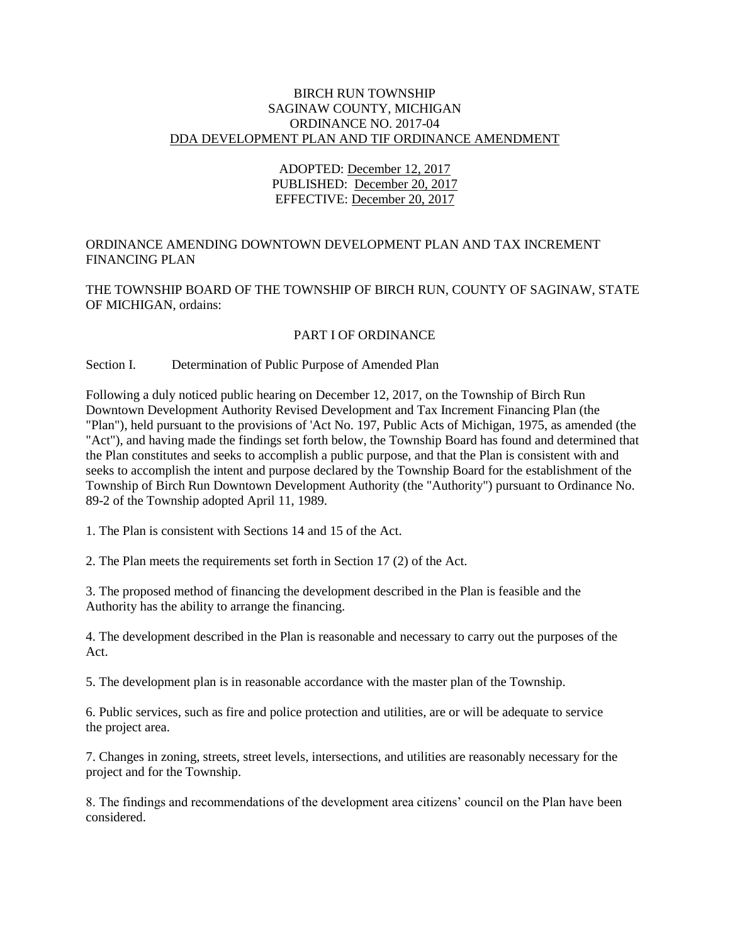## BIRCH RUN TOWNSHIP SAGINAW COUNTY, MICHIGAN ORDINANCE NO. 2017-04 DDA DEVELOPMENT PLAN AND TIF ORDINANCE AMENDMENT

# ADOPTED: December 12, 2017 PUBLISHED: December 20, 2017 EFFECTIVE: December 20, 2017

# ORDINANCE AMENDING DOWNTOWN DEVELOPMENT PLAN AND TAX INCREMENT FINANCING PLAN

THE TOWNSHIP BOARD OF THE TOWNSHIP OF BIRCH RUN, COUNTY OF SAGINAW, STATE OF MICHIGAN, ordains:

# PART I OF ORDINANCE

# Section I. Determination of Public Purpose of Amended Plan

Following a duly noticed public hearing on December 12, 2017, on the Township of Birch Run Downtown Development Authority Revised Development and Tax Increment Financing Plan (the "Plan"), held pursuant to the provisions of 'Act No. 197, Public Acts of Michigan, 1975, as amended (the "Act"), and having made the findings set forth below, the Township Board has found and determined that the Plan constitutes and seeks to accomplish a public purpose, and that the Plan is consistent with and seeks to accomplish the intent and purpose declared by the Township Board for the establishment of the Township of Birch Run Downtown Development Authority (the "Authority") pursuant to Ordinance No. 89-2 of the Township adopted April 11, 1989.

1. The Plan is consistent with Sections 14 and 15 of the Act.

2. The Plan meets the requirements set forth in Section 17 (2) of the Act.

3. The proposed method of financing the development described in the Plan is feasible and the Authority has the ability to arrange the financing.

4. The development described in the Plan is reasonable and necessary to carry out the purposes of the Act.

5. The development plan is in reasonable accordance with the master plan of the Township.

6. Public services, such as fire and police protection and utilities, are or will be adequate to service the project area.

7. Changes in zoning, streets, street levels, intersections, and utilities are reasonably necessary for the project and for the Township.

8. The findings and recommendations of the development area citizens' council on the Plan have been considered.